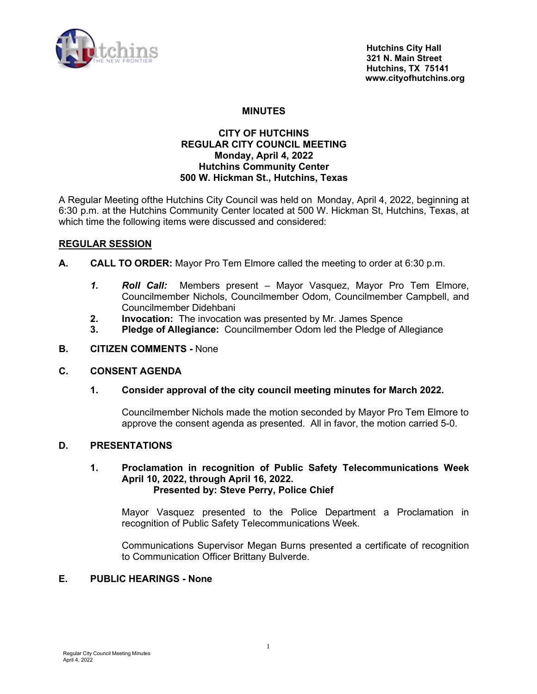

## **MINUTES**

## **CITY OF HUTCHINS REGULAR CITY COUNCIL MEETING Monday, April 4, 2022 Hutchins Community Center 500 W. Hickman St., Hutchins, Texas**

A Regular Meeting ofthe Hutchins City Council was held on Monday, April 4, 2022, beginning at 6:30 p.m. at the Hutchins Community Center located at 500 W. Hickman St, Hutchins, Texas, at which time the following items were discussed and considered:

## **REGULAR SESSION**

- **A. CALL TO ORDER:** Mayor Pro Tem Elmore called the meeting to order at 6:30 p.m.
	- *1. Roll Call:* Members present Mayor Vasquez, Mayor Pro Tem Elmore, Councilmember Nichols, Councilmember Odom, Councilmember Campbell, and Councilmember Didehbani
	- **2. Invocation:** The invocation was presented by Mr. James Spence
	- **3. Pledge of Allegiance:** Councilmember Odom led the Pledge of Allegiance
- **B. CITIZEN COMMENTS** None

### **C. CONSENT AGENDA**

**1. Consider approval of the city council meeting minutes for March 2022.**

Councilmember Nichols made the motion seconded by Mayor Pro Tem Elmore to approve the consent agenda as presented. All in favor, the motion carried 5-0.

## **D. PRESENTATIONS**

### **1. Proclamation in recognition of Public Safety Telecommunications Week April 10, 2022, through April 16, 2022. Presented by: Steve Perry, Police Chief**

Mayor Vasquez presented to the Police Department a Proclamation in recognition of Public Safety Telecommunications Week.

Communications Supervisor Megan Burns presented a certificate of recognition to Communication Officer Brittany Bulverde.

# **E. PUBLIC HEARINGS - None**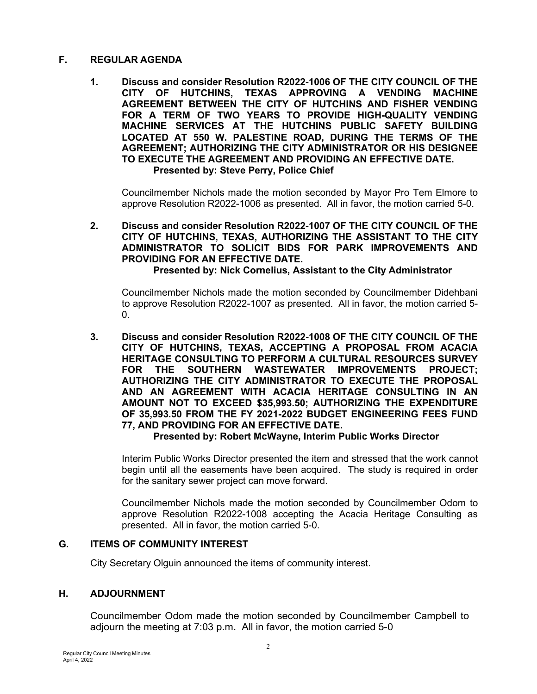# **F. REGULAR AGENDA**

**1. Discuss and consider Resolution R2022-1006 OF THE CITY COUNCIL OF THE CITY OF HUTCHINS, TEXAS APPROVING A VENDING MACHINE AGREEMENT BETWEEN THE CITY OF HUTCHINS AND FISHER VENDING FOR A TERM OF TWO YEARS TO PROVIDE HIGH-QUALITY VENDING MACHINE SERVICES AT THE HUTCHINS PUBLIC SAFETY BUILDING LOCATED AT 550 W. PALESTINE ROAD, DURING THE TERMS OF THE AGREEMENT; AUTHORIZING THE CITY ADMINISTRATOR OR HIS DESIGNEE TO EXECUTE THE AGREEMENT AND PROVIDING AN EFFECTIVE DATE. Presented by: Steve Perry, Police Chief**

Councilmember Nichols made the motion seconded by Mayor Pro Tem Elmore to approve Resolution R2022-1006 as presented. All in favor, the motion carried 5-0.

# **2. Discuss and consider Resolution R2022-1007 OF THE CITY COUNCIL OF THE CITY OF HUTCHINS, TEXAS, AUTHORIZING THE ASSISTANT TO THE CITY ADMINISTRATOR TO SOLICIT BIDS FOR PARK IMPROVEMENTS AND PROVIDING FOR AN EFFECTIVE DATE.**

## **Presented by: Nick Cornelius, Assistant to the City Administrator**

Councilmember Nichols made the motion seconded by Councilmember Didehbani to approve Resolution R2022-1007 as presented. All in favor, the motion carried 5- 0.

**3. Discuss and consider Resolution R2022-1008 OF THE CITY COUNCIL OF THE CITY OF HUTCHINS, TEXAS, ACCEPTING A PROPOSAL FROM ACACIA HERITAGE CONSULTING TO PERFORM A CULTURAL RESOURCES SURVEY FOR THE SOUTHERN WASTEWATER IMPROVEMENTS PROJECT; AUTHORIZING THE CITY ADMINISTRATOR TO EXECUTE THE PROPOSAL AND AN AGREEMENT WITH ACACIA HERITAGE CONSULTING IN AN AMOUNT NOT TO EXCEED \$35,993.50; AUTHORIZING THE EXPENDITURE OF 35,993.50 FROM THE FY 2021-2022 BUDGET ENGINEERING FEES FUND 77, AND PROVIDING FOR AN EFFECTIVE DATE.**

### **Presented by: Robert McWayne, Interim Public Works Director**

Interim Public Works Director presented the item and stressed that the work cannot begin until all the easements have been acquired. The study is required in order for the sanitary sewer project can move forward.

Councilmember Nichols made the motion seconded by Councilmember Odom to approve Resolution R2022-1008 accepting the Acacia Heritage Consulting as presented. All in favor, the motion carried 5-0.

### **G. ITEMS OF COMMUNITY INTEREST**

City Secretary Olguin announced the items of community interest.

# **H. ADJOURNMENT**

Councilmember Odom made the motion seconded by Councilmember Campbell to adjourn the meeting at 7:03 p.m. All in favor, the motion carried 5-0